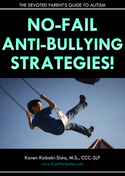# THE DEVOTED PARENT'S GUIDE TO AUTISM

# NO-FAIL ANTI-BULLYING STRATEGIES!



# Karen Kabaki-Sisto, M.S., CCC-SLP

[www.iCanForAutism.com](http://www.icanforautism.com/)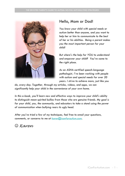

# Hello, Mom or Dad!

*You know your child with special needs or autism better than anyone, and you want to help her or him to communicate to the best of her or his abilities. Being a parent makes you the most important person for your child!*

*But where's the help for YOU to understand and empower your child? You've come to the right place.*

*As an ASHA-certified speech-language pathologist, I've been working with people with autism and special needs for over 20 years. I strive to achieve more, just like you* 

*do, every day. Together, through my articles, videos, and apps, we can significantly help your child in the convenience of your own home.*

*In this e-book, you'll learn new and effective ways to improve your child's ability to distinguish mean-spirited bullies from those who are genuine friends. My goal is for your child, you, the community, and educators to take a stand using the power of communication when bullying rears its ugly head.*

*After you've tried a few of my techniques, feel free to email your questions, comments, or concerns to me at [karen@icanforautism.com.](mailto:karen@icanforautism.com)* 

*Karen*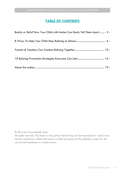# **TABLE OF CONTENTS**

| Buddy or Bully? How Your Child with Autism Can Easily Tell Them Apart  - 3 - |
|------------------------------------------------------------------------------|
|                                                                              |
|                                                                              |
|                                                                              |
|                                                                              |

#### *© 2016 by Karen Kabaki-Sisto*

*All rights reserved. This book or any portion thereof may not be reproduced or used in any manner whatsoever without the express written permission of the publisher except for the use of brief quotations in a book review.*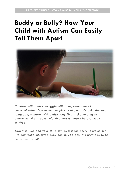# <span id="page-3-0"></span>**Buddy or Bully? How Your Child with Autism Can Easily Tell Them Apart**



*Children with autism struggle with interpreting social communication. Due to the complexity of people's behavior and language, children with autism may find it challenging to determine who is genuinely kind versus those who are mean spirited.* 

*Together, you and your child can discuss the peers in his or her life and make educated decisions on who gets the privilege to be his or her friend!*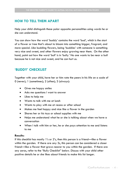# **HOW TO TELL THEM APART**

Help your child distinguish these polar opposite personalities using words he or she can understand.

You can show how the word 'buddy' contains the word 'bud', which is the start of a flower or tree that's about to bloom into something bigger, fragrant, and more special. Like budding flowers, being 'buddies' with someone is something very nice and sweet, and other flowers enjoy growing near them. On the other hand, point out how the word 'bull' is in 'bully.' No one wants to be near a bull because he is not nice and sweet, and he can hurt us.

# **'BUDDY' CHECKLIST**

Together with your child, have her or him rate the peers in his life on a scale of 0 (never); 1 (sometimes); 2 (often); 3 (always):

- Gives me happy smiles
- Asks me questions I want to answer
- Likes to help me
- Wants to talk with me at lunch
- Wants to play with me at recess or after school
- Makes me feel happy and nice like a flower in the garden
- Shares her or his toys or school supplies with me
- Helps me understand what he or she is talking about when we have a conversation
- When I talk with him or her, he or she pays attention to me and listens to me

#### **Results:**

If this checklist has mostly 1's or 2's, then this person is a friend—like a flower within the garden. If there are any 3s, this person can be considered a closer friend—like a flower that grows nearer to you within the garden. If there are any zeros, refer to the "Bully Checklist" below. Discuss with your child other positive details he or she likes about friends to make this list longer.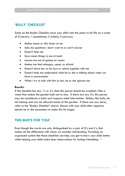# **'BULLY' CHECKLIST**

Same as the Buddy Checklist, have your child rate the peers in his life on a scale of 0 (never); 1 (sometimes); 2 (often); 3 (always):

- Makes mean or silly faces at me
- Asks me questions I don't want to or can't answer
- Doesn't help me
- Says mean things to me at lunch
- Leaves me out of games at recess
- Makes me feel unhappy, upset, or afraid
- Doesn't share her or his toys or school supplies with me
- Doesn't help me understand what he or she is talking about when we have a conversation
- When I try to talk with him or her, he or she ignores me

#### **Results:**

If this checklist has any 1's or 2's, then this person should be avoided—like a weed that makes the garden look not so nice. If there are any 3's, this person may be considered a bully and requires adult intervention. Bullies, like bulls, do not belong and are not allowed inside of the garden. If there are any zeros, refer to the "Buddy Checklist" above. Discuss with your child other negative details he or she encounters to make this list longer.

# **THIS BUD'S FOR YOU!**

Even though the words are only distinguished by a pair of D's and L's, that makes all the difference with whom we consider befriending. Providing an organized system like these checklists can help you get to know your child better while helping your child make keen observations for lasting friendships.  $\diamond$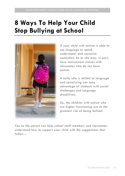# <span id="page-6-0"></span>**8 Ways To Help Your Child Stop Bullying at School**



*If your child with autism is able to use language to speak, understand, and socialize somewhat, he or she may, in part, have mainstream classes with classmates who do not have autism.* 

*A bully who is skilled at language and socializing can take advantage of students with social challenges and language disabilities.* 

*So, the children with autism who are higher-functioning are at the greatest risk of being bullied.* 

*You as the parent can help school staff members and classmates understand how to support your child with the suggestions that follow…*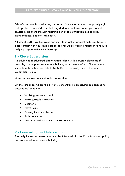School's purpose is to educate, and education is the answer to stop bullying! Help protect your child from bullying during school even when you cannot physically be there through teaching better communication, social skills, independence, and self-advocacy.

All school staff play key roles and must take action against bullying. Keep in close contact with your child's school to encourage working together to reduce bullying opportunities with these tips:

# **1 - Close Supervision**

An adult who is educated about autism, along with a trusted classmate if possible, can help in areas where bullying occurs more often. Places where students with autism are able to be bullied more easily due to the lack of supervision include:

Mainstream classroom with only one teacher

On the school bus where the driver is concentrating on driving as opposed to passengers' behavior

- Walking to/from school
- Extra-curricular activities
- Cafeteria
- Playground
- Passing time in hallways
- Bathroom visits
- Any unsupervised or unstructured activity

# **2 - Counseling and Intervention**

The bully himself or herself needs to be informed of school's anti-bullying policy and counseled to stop more bullying.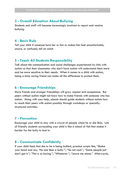# **3 - Overall Education About Bullying**

Students and staff will become increasingly involved to report and resolve bullying.

# **4 - Basic Rule**

Tell your child if someone hurts her or him or makes him feel uncomfortable, unsure, or confused, tell an adult.

# **5 - Teach All Students Responsibility**

Talk about the communication and social challenges experienced by kids with autism so that their classmates who don't have autism will understand them more and be more sensitive to their needs. When it comes to a child with autism, being a kind, caring friend can make all the difference to protect them.

## **6 - Encourage Friendships**

More friends and stronger friendships will grow respect and acceptance. But peers without autism might not know how to make friends with someone who has autism. Along with your help, schools should guide students without autism how to reach their peers with autism possibly through workshops or speciallystructured activities.

# **7 - Prevention**

Encourage your child to stay with a crowd of people whom he or she likes. Lots of friendly students surrounding your child is like a school of fish that makes it harder for the bully to bust in.

## **8 - Communicate Confidently**

If your child feels that she or he is being bullied, practice scripts like, "Shake your head and say, 'No one likes a bully.'"; "So not cool."; "Some people just don't get it."; "This is so boring."; "Whatever."; "Leave me alone." Afterwards,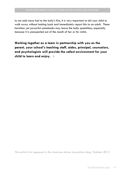to not add more fuel to the bully's fire, it is very important to tell your child to walk away without looking back and immediately report this to an adult. These harmless yet powerful comebacks may leave the bully speechless, especially because it is unexpected out of the mouth of her or his victim.

**Working together as a team in partnership with you as the parent, your school's teaching staff, aides, principal, counselors, and psychologists will provide the safest environment for your child to learn and enjoy.** 

*This article first appeared in the American Autism Association blog, October 2015*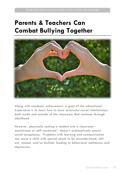# <span id="page-10-0"></span>**Parents & Teachers Can Combat Bullying Together**



*Along with academic achievement, a goal of the educational experience is to learn how to have successful social relationships both inside and outside of the classroom that continue through adulthood.*

*However, physically seating a student into a classroom mainstream or self-contained - doesn't automatically ensure social acceptance. Problems with learning and communication can cause a child with special needs to be misunderstood, left out, teased, and/or bullied, leading to behavioral meltdowns and depression.*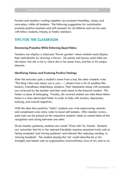Parents and teachers working together can promote friendship, values, and comradery within all students. The following suggestions for socialization promote positive emotions and self-concepts for all children and can be used with fellow students, friends, or family members.

# **TIPS FOR THE CLASSROOM**

#### **Decreasing Prejudice While Enforcing Equal Status**

Teachers can display a classroom 'flower garden' where students each display their individuality by drawing a flower. On petals and leaves, each child can tell about who she or he is, where she or he comes from, and her or his unique interests.

#### **Identifying Values and Fostering Positive Feelings**

After the instructor pulls a student's name from a hat, the other students write "The thing I like most about you is your…", chosen from a list of qualities like honesty, friendliness, helpfulness, etcetera. Their statements along with examples are reviewed by the teacher and then read aloud to the honored student. This fosters a sense of belonging. Proudly, the revered student can take these letters home in a class-decorated folder in order to help with anxiety, depression, bullying, and overall negativity.

With the idea that positivity "sticks", students can write empowering remarks and compliments onto sticky notes to boost self-esteem. After teacher review, each note can be placed on the respective students' desks to remind them of this recognition and caring between one other.

Given teacher guidance, students can create 'Want Ads' for friends. Students can 'advertise' that his or her desired friendship requires emotional traits such as 'being accepted' and 'having patience' and interests like 'enjoying reading' or 'playing baseball.' The student placing the 'ad' would describe his or her strengths and talents such as organization, trustworthiness, love of art, and so on.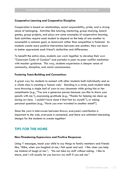#### **Cooperative Learning and Cooperative Discipline**

Cooperation is based on relationships, social responsibility, pride, and a strong sense of belonging. Activities like tutoring, mentoring, group studying, board games, group projects, and plays are some examples of cooperative learning. Such activities require each student to depend on the help of one another to accomplish a common goal, so teamwork rather than competition is fostered. As students create more positive interactions between one another, they can learn to better appreciate each friend's similarities and differences.

To benefit the entire class, students can work together to develop their own "Classroom Code of Conduct" and partake in peer-to-peer conflict mediation with teacher guidance. This way, students experience a deeper sense of community, discipline, and social consciousness.

#### **Fostering Team-Building and Connections**

A great way for students to connect with other students both individually and as a whole class is creating a 'human web.' Standing in a circle, each student takes turns throwing a single ball of yarn to any classmate while giving him or her compliments (e.g., "You are a generous person because you like to share your pencils with me."), expressing gratitude (e.g., "Thanks for helping me clean up during art class. I couldn't have done it that fast by myself."), or asking personal questions (e.g., "Have you ever traveled to another state?").

Since the yarn is interwoven between throws, everyone's contribution is important to the web, everyone is connected, and there are unlimited interesting designs for the students to create together!

# **TIPS FOR THE HOME**

#### **Non-Threatening Expressions and Positive Responses**

Using 'I' messages, teach your child to say things to family members and friends like, "Mike, when you laughed at me, I felt upset and sad. I like when you help me instead of laugh at me."; "Do not take my stuff without asking. I like to share, and I will usually let you borrow my stuff if you ask me."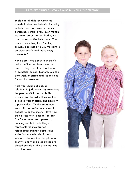Explain to all children within the household that any behavior including misbehavior is a choice that each person has control over. Even though we have reasons to feel badly, we can choose positive behaviors. You can say something like, "Feeling grouchy does not give you the right to be disrespectful and make nasty comments."

Have discussions about your child's daily conflicts and how she or he feels. Using role-play of actual or hypothetical social situations, you can both work on scripts and suggestions for a calm resolution.

Help your child make social relationship judgements by examining the people within her or his life. Draw a dart board with concentric circles, different colors, and possibly a point-value. On thin sticky notes, your child can write the names of people he or she knows. Have your child assess how "close to" or "far from" the center each person is, pointing out that the bullseye represents the most trusted relationships (highest point-value) while further circles depict less intimate relationships. People who aren't friendly or act as bullies are placed outside of the circle, earning no value points.

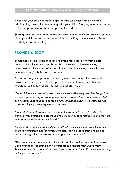If you feel your child has made inappropriate judgements about the true relationships, discuss the reasons why with your child. Then, together you can reassign the placement of these people on the dart board.

Sharing some personal experiences and hardships as you were growing up may allow your child to feel more comfortable and willing to share more of his or her daily encounters with you.

# **PROVIDE WISDOM**

Sometimes physical disabilities tend to evoke more sensitivity from others because those limitations are observable. In contrast, classmates may misunderstand the student with special needs who has social, communicative, emotional, and/or behavioral disorders.

Educators along with parents can teach general awareness, kindness, and advocacy. Some general tips for parents to use with family members and friends as well as for teachers to use with the class follow:

*"Some children who cannot speak or communicate effectively may feel happy just to have others playing or working near them. There are lots of fun activities that don't require language such as taking turns at putting puzzles together, playing catch, or playing a memory match card game."*

*"Some students with special needs might not know how to make friends or they may feel uncomfortable. Encourage everyone to introduce themselves and show an interest in becoming his or her friend."*

*"Since children with special needs have difficulty communicating, sometimes they might misunderstand and/or miscommunicate. Being a good friend to anyone means helping others to understand and get their needs met."*

*"The person on the inside matters the most--not the way they talk, look, or move. Good friends accept each other's differences and respect their unique traits. Remember how important this is, and stand up for your friend if someone is teasing or bullying her or him."*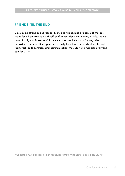# **FRIENDS 'TIL THE END**

Developing strong social responsibility and friendships are some of the best ways for all children to build self-confidence along the journey of life. Being part of a tight-knit, respectful community leaves little room for negative behavior. The more time spent successfully learning from each other through teamwork, collaboration, and communication, the safer and happier everyone can feel. :)  $\div$ 

*This article first appeared in Exceptional Parent Magazine, September 2016*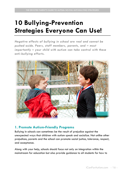# <span id="page-16-0"></span>**10 Bullying-Prevention Strategies Everyone Can Use!**

*Negative effects of bullying in school are real and cannot be pushed aside. Peers, staff members, parents, and – most importantly – your child with autism can take control with these anti-bullying efforts.*



# **1. Promote Autism-Friendly Programs**

Bullying in schools can sometimes be the result of prejudice against the unexpected ways that children with autism speak and socialize. Not unlike other prejudices, parents and the school can promote social justice, tolerance, respect, and acceptance.

Along with your help, schools should focus not only on integration within the mainstream for education but also provide guidance to all students for how to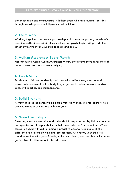better socialize and communicate with their peers who have autism - possibly through workshops or specially-structured activities.

### **2. Team Work**

Working together as a team in partnership with you as the parent, the school's teaching staff, aides, principal, counselors, and psychologists will provide the safest environment for your child to learn and enjoy.

# **3. Autism Awareness Every Month**

Not just during April's Autism Awareness Month, but always, more awareness of autism overall can help prevent bullying.

## **4. Teach Skills**

Teach your child how to identify and deal with bullies through verbal and nonverbal communication like body language and facial expressions, survival skills, civil liberties, and independence.

## **5. Build Strength**

As your child learns defensive skills from you, his friends, and his teachers, he is growing stronger connections with everyone.

# **6. More Friendships**

Discussing the communication and social deficits experienced by kids with autism puts greater social responsibility on their peers who don't have autism. When it comes to a child with autism, being a proactive observer can make all the difference to prevent bullying and protect them. As a result, your child will spend more time with good friends, make new friends, and possibly will want to get involved in different activities with them.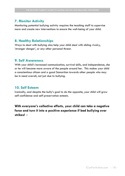# **7. Monitor Activity**

Monitoring potential bullying activity requires the teaching staff to supervise more and create new interventions to ensure the well-being of your child.

# **8. Healthy Relationships**

Ways to deal with bullying also help your child deal with sibling rivalry, 'stranger danger', or any other personal threat.

# **9. Self Awareness**

With your child's increased communication, survival skills, and independence, she or he will become more aware of the people around her. This makes your child a conscientious citizen and a good Samaritan towards other people who may be in need overall, not just due to bullying.

## **10. Self Esteem**

Ironically, and despite the bully's goal to do the opposite, your child will grow self-confidence and self-preservation esteem.

**With everyone's collective efforts, your child can take a negative force and turn it into a positive experience if bad bullying ever strikes!**